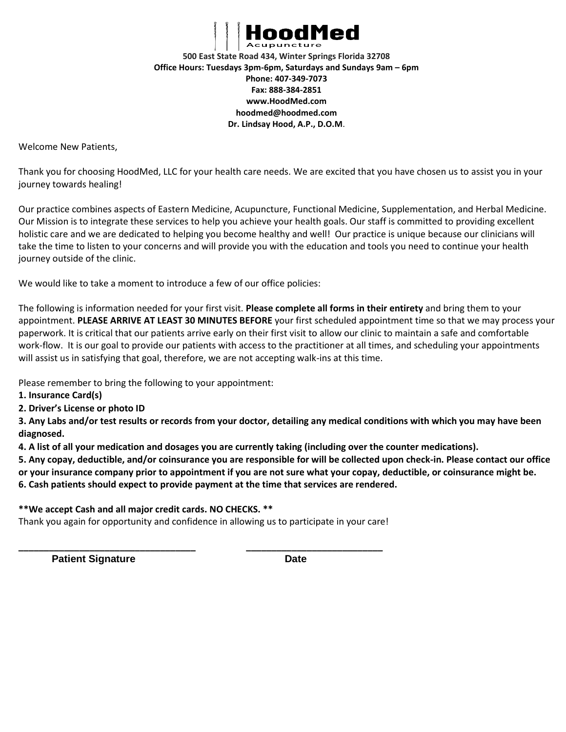

**500 East State Road 434, Winter Springs Florida 32708 Office Hours: Tuesdays 3pm-6pm, Saturdays and Sundays 9am – 6pm Phone: 407-349-7073 Fax: 888-384-2851 www.HoodMed.com hoodmed@hoodmed.com Dr. Lindsay Hood, A.P., D.O.M**.

Welcome New Patients,

Thank you for choosing HoodMed, LLC for your health care needs. We are excited that you have chosen us to assist you in your journey towards healing!

Our practice combines aspects of Eastern Medicine, Acupuncture, Functional Medicine, Supplementation, and Herbal Medicine. Our Mission is to integrate these services to help you achieve your health goals. Our staff is committed to providing excellent holistic care and we are dedicated to helping you become healthy and well! Our practice is unique because our clinicians will take the time to listen to your concerns and will provide you with the education and tools you need to continue your health journey outside of the clinic.

We would like to take a moment to introduce a few of our office policies:

The following is information needed for your first visit. **Please complete all forms in their entirety** and bring them to your appointment. **PLEASE ARRIVE AT LEAST 30 MINUTES BEFORE** your first scheduled appointment time so that we may process your paperwork. It is critical that our patients arrive early on their first visit to allow our clinic to maintain a safe and comfortable work-flow. It is our goal to provide our patients with access to the practitioner at all times, and scheduling your appointments will assist us in satisfying that goal, therefore, we are not accepting walk-ins at this time.

Please remember to bring the following to your appointment:

**1. Insurance Card(s)** 

**2. Driver's License or photo ID** 

**3. Any Labs and/or test results or records from your doctor, detailing any medical conditions with which you may have been diagnosed.**

**4. A list of all your medication and dosages you are currently taking (including over the counter medications).** 

**5. Any copay, deductible, and/or coinsurance you are responsible for will be collected upon check-in. Please contact our office** 

**or your insurance company prior to appointment if you are not sure what your copay, deductible, or coinsurance might be.**

**6. Cash patients should expect to provide payment at the time that services are rendered.** 

**\*\*We accept Cash and all major credit cards. NO CHECKS. \*\*** 

Thank you again for opportunity and confidence in allowing us to participate in your care!

**\_\_\_\_\_\_\_\_\_\_\_\_\_\_\_\_\_\_\_\_\_\_\_\_\_\_\_\_\_\_\_\_\_\_\_ \_\_\_\_\_\_\_\_\_\_\_\_\_\_\_\_\_\_\_\_\_\_\_\_\_\_\_** 

**Patient Signature Date**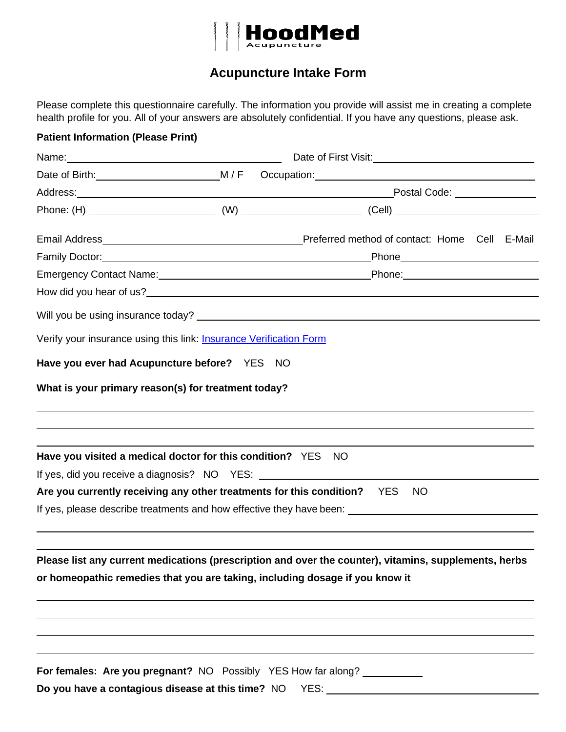

# **Acupuncture Intake Form**

Please complete this questionnaire carefully. The information you provide will assist me in creating a complete health profile for you. All of your answers are absolutely confidential. If you have any questions, please ask.

| <b>Patient Information (Please Print)</b>                                                                                     |                                                                                                                                                                                                                                |
|-------------------------------------------------------------------------------------------------------------------------------|--------------------------------------------------------------------------------------------------------------------------------------------------------------------------------------------------------------------------------|
| Name: Name:                                                                                                                   | Date of First Visit: National Assembly Contact Contact Contact Contact Contact Contact Contact Contact Contact Contact Contact Contact Contact Contact Contact Contact Contact Contact Contact Contact Contact Contact Contact |
|                                                                                                                               |                                                                                                                                                                                                                                |
|                                                                                                                               |                                                                                                                                                                                                                                |
|                                                                                                                               |                                                                                                                                                                                                                                |
|                                                                                                                               |                                                                                                                                                                                                                                |
| Family Doctor: <u>Annual American Communication</u>                                                                           | _Phone__________________________                                                                                                                                                                                               |
|                                                                                                                               |                                                                                                                                                                                                                                |
|                                                                                                                               |                                                                                                                                                                                                                                |
|                                                                                                                               |                                                                                                                                                                                                                                |
| Verify your insurance using this link: <b>Insurance Verification Form</b>                                                     |                                                                                                                                                                                                                                |
| Have you ever had Acupuncture before? YES NO                                                                                  |                                                                                                                                                                                                                                |
| What is your primary reason(s) for treatment today?                                                                           |                                                                                                                                                                                                                                |
| Have you visited a medical doctor for this condition? YES NO                                                                  |                                                                                                                                                                                                                                |
| If yes, did you receive a diagnosis? NO YES: ___________________________________                                              |                                                                                                                                                                                                                                |
| Are you currently receiving any other treatments for this condition? YES                                                      | NO.<br>If yes, please describe treatments and how effective they have been: _______________________________                                                                                                                    |
| or homeopathic remedies that you are taking, including dosage if you know it                                                  | Please list any current medications (prescription and over the counter), vitamins, supplements, herbs                                                                                                                          |
| For females: Are you pregnant? NO Possibly YES How far along? __________<br>Do you have a contagious disease at this time? NO |                                                                                                                                                                                                                                |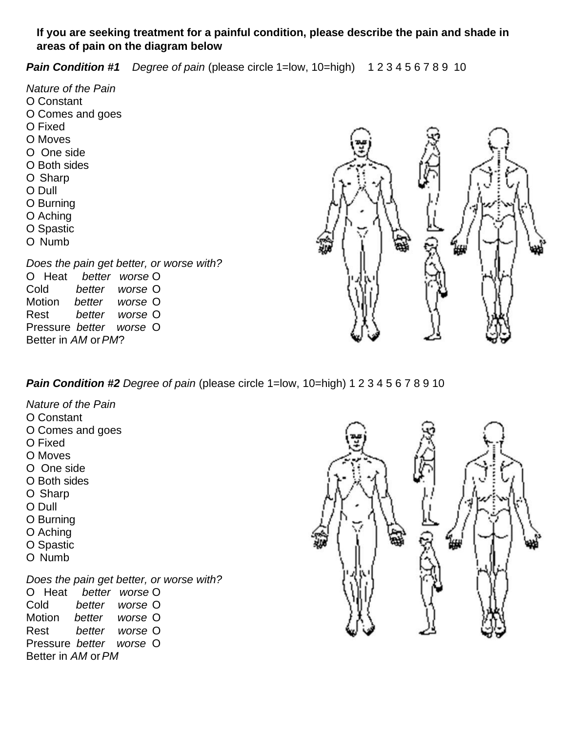## **If you are seeking treatment for a painful condition, please describe the pain and shade in areas of pain on the diagram below**

**Pain Condition #1** *Degree of pain* (please circle 1=low, 10=high) 1 2 3 4 5 6 7 8 9 10

*Nature of the Pain* O Constant O Comes and goes O Fixed O Moves O One side O Both sides O Sharp O Dull O Burning O Aching O Spastic O Numb *Does the pain get better, or worse with?* O Heat *better worse* O Cold *better worse* O Motion *better worse* O Rest *better worse* O Pressure *better worse* O Better in *AM* or*PM*?



# **Pain Condition #2** *Degree of pain* (please circle 1=low, 10=high) 1 2 3 4 5 6 7 8 9 10

- *Nature of the Pain*
- O Constant
- O Comes and goes
- O Fixed
- O Moves
- O One side
- O Both sides
- O Sharp
- O Dull
- O Burning
- O Aching
- O Spastic
- O Numb

*Does the pain get better, or worse with?* O Heat *better worse* O Cold *better worse* O Motion *better worse* O Rest *better worse* O Pressure *better worse* O Better in *AM* or*PM*

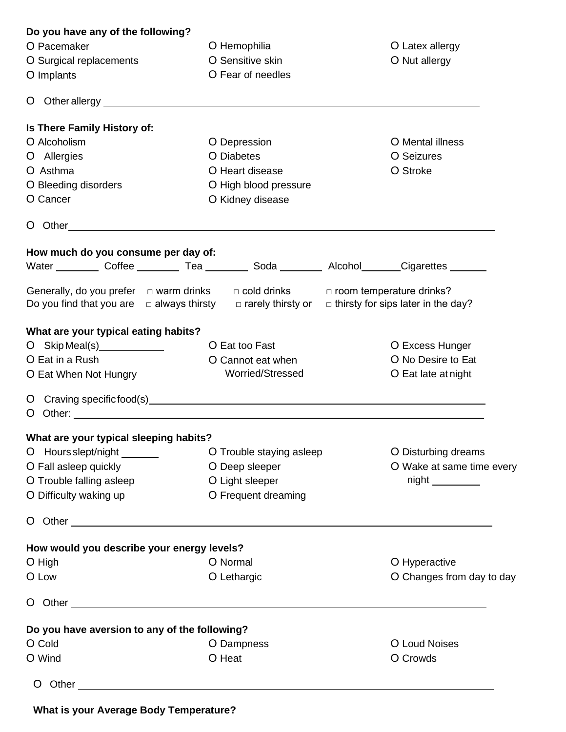| Do you have any of the following?                                                                                                                                                                                              |                                                                                                                                                                                                                                |                                           |  |
|--------------------------------------------------------------------------------------------------------------------------------------------------------------------------------------------------------------------------------|--------------------------------------------------------------------------------------------------------------------------------------------------------------------------------------------------------------------------------|-------------------------------------------|--|
| O Pacemaker                                                                                                                                                                                                                    | O Hemophilia<br>O Latex allergy                                                                                                                                                                                                |                                           |  |
| O Surgical replacements                                                                                                                                                                                                        | O Sensitive skin<br>O Nut allergy                                                                                                                                                                                              |                                           |  |
| O Implants                                                                                                                                                                                                                     | O Fear of needles                                                                                                                                                                                                              |                                           |  |
|                                                                                                                                                                                                                                |                                                                                                                                                                                                                                |                                           |  |
|                                                                                                                                                                                                                                |                                                                                                                                                                                                                                |                                           |  |
| Is There Family History of:                                                                                                                                                                                                    |                                                                                                                                                                                                                                |                                           |  |
| O Alcoholism                                                                                                                                                                                                                   | O Depression                                                                                                                                                                                                                   | O Mental illness                          |  |
| O Allergies                                                                                                                                                                                                                    | O Diabetes                                                                                                                                                                                                                     | O Seizures                                |  |
| O Asthma                                                                                                                                                                                                                       | O Heart disease                                                                                                                                                                                                                | O Stroke                                  |  |
| O Bleeding disorders                                                                                                                                                                                                           | O High blood pressure                                                                                                                                                                                                          |                                           |  |
| O Cancer                                                                                                                                                                                                                       | O Kidney disease                                                                                                                                                                                                               |                                           |  |
|                                                                                                                                                                                                                                | O Other and the contract of the contract of the contract of the contract of the contract of the contract of the contract of the contract of the contract of the contract of the contract of the contract of the contract of th |                                           |  |
|                                                                                                                                                                                                                                |                                                                                                                                                                                                                                |                                           |  |
| How much do you consume per day of:                                                                                                                                                                                            | Water Coffee Tea Coffee Network Corp. Network Cigarettes Contract Pean Corp.                                                                                                                                                   |                                           |  |
|                                                                                                                                                                                                                                |                                                                                                                                                                                                                                |                                           |  |
| Generally, do you prefer $\Box$ warm drinks                                                                                                                                                                                    | $\Box$ cold drinks $\Box$ room temperature drinks?                                                                                                                                                                             |                                           |  |
|                                                                                                                                                                                                                                | Do you find that you are $\Box$ always thirsty $\Box$ rarely thirsty or                                                                                                                                                        | $\Box$ thirsty for sips later in the day? |  |
|                                                                                                                                                                                                                                |                                                                                                                                                                                                                                |                                           |  |
| What are your typical eating habits?                                                                                                                                                                                           |                                                                                                                                                                                                                                |                                           |  |
| O Skip Meal(s) $\qquad \qquad$                                                                                                                                                                                                 | O Eat too Fast                                                                                                                                                                                                                 | O Excess Hunger                           |  |
| O Eat in a Rush                                                                                                                                                                                                                | O Cannot eat when<br>O No Desire to Eat                                                                                                                                                                                        |                                           |  |
| O Eat When Not Hungry                                                                                                                                                                                                          | Worried/Stressed                                                                                                                                                                                                               | O Eat late at night                       |  |
|                                                                                                                                                                                                                                | O Craving specific food(s) example and contact the contract of the contract of the contract of the contract of the contract of the contract of the contract of the contract of the contract of the contract of the contract of |                                           |  |
|                                                                                                                                                                                                                                |                                                                                                                                                                                                                                |                                           |  |
|                                                                                                                                                                                                                                |                                                                                                                                                                                                                                |                                           |  |
| What are your typical sleeping habits?                                                                                                                                                                                         |                                                                                                                                                                                                                                |                                           |  |
| O Hours slept/night _______                                                                                                                                                                                                    | O Trouble staying asleep                                                                                                                                                                                                       | O Disturbing dreams                       |  |
| O Fall asleep quickly                                                                                                                                                                                                          | O Deep sleeper                                                                                                                                                                                                                 | O Wake at same time every                 |  |
| O Trouble falling asleep                                                                                                                                                                                                       | O Light sleeper                                                                                                                                                                                                                |                                           |  |
| O Difficulty waking up                                                                                                                                                                                                         | O Frequent dreaming                                                                                                                                                                                                            |                                           |  |
|                                                                                                                                                                                                                                |                                                                                                                                                                                                                                |                                           |  |
| How would you describe your energy levels?                                                                                                                                                                                     |                                                                                                                                                                                                                                |                                           |  |
| O High                                                                                                                                                                                                                         | O Normal                                                                                                                                                                                                                       | O Hyperactive                             |  |
| O Low                                                                                                                                                                                                                          | O Lethargic                                                                                                                                                                                                                    | O Changes from day to day                 |  |
|                                                                                                                                                                                                                                |                                                                                                                                                                                                                                |                                           |  |
| O Other Changes and Changes and Changes and Changes and Changes and Changes and Changes and Changes and Changes and Changes and Changes and Changes and Changes and Changes and Changes and Changes and Changes and Changes an |                                                                                                                                                                                                                                |                                           |  |
| Do you have aversion to any of the following?                                                                                                                                                                                  |                                                                                                                                                                                                                                |                                           |  |
| O Cold                                                                                                                                                                                                                         | O Dampness                                                                                                                                                                                                                     | O Loud Noises                             |  |
| O Wind                                                                                                                                                                                                                         | O Heat                                                                                                                                                                                                                         | O Crowds                                  |  |
|                                                                                                                                                                                                                                |                                                                                                                                                                                                                                |                                           |  |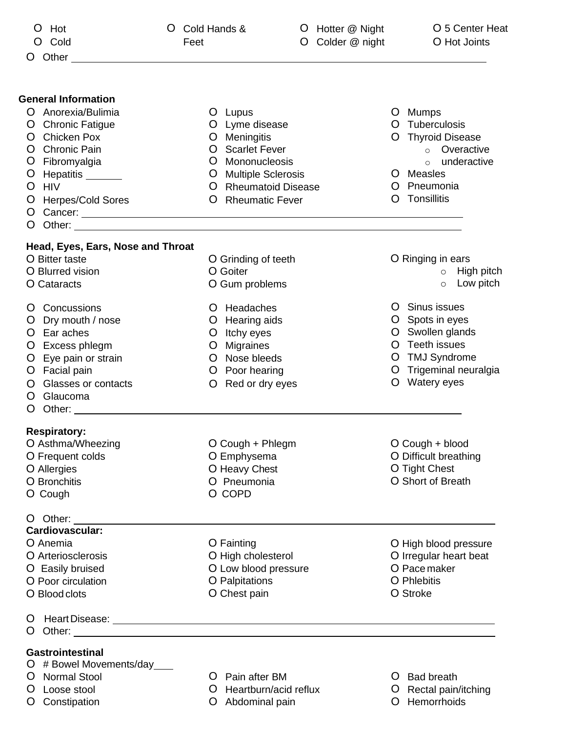| Hot<br>Ő<br>Cold                                                                                                                                                                                                                                                                                                                                                                           | O<br>Feet | Cold Hands &                                                                                                                                                      | O | O Hotter @ Night<br>Colder @ night |         | O 5 Center Heat<br>O Hot Joints                                                                                                    |
|--------------------------------------------------------------------------------------------------------------------------------------------------------------------------------------------------------------------------------------------------------------------------------------------------------------------------------------------------------------------------------------------|-----------|-------------------------------------------------------------------------------------------------------------------------------------------------------------------|---|------------------------------------|---------|------------------------------------------------------------------------------------------------------------------------------------|
| Other<br>Ő                                                                                                                                                                                                                                                                                                                                                                                 |           |                                                                                                                                                                   |   |                                    |         |                                                                                                                                    |
| <b>General Information</b><br>O Anorexia/Bulimia<br><b>Chronic Fatigue</b><br>Ő<br><b>Chicken Pox</b><br>O<br>Chronic Pain<br>Fibromyalgia<br>Ő<br>O Hepatitis _______<br>O HIV<br><b>Herpes/Cold Sores</b><br>O<br>O.<br>O                                                                                                                                                                |           | O Lupus<br>O Lyme disease<br>O Meningitis<br>O Scarlet Fever<br>Mononucleosis<br>O<br>O Multiple Sclerosis<br>O Rheumatoid Disease<br><b>Rheumatic Fever</b><br>O |   |                                    | O<br>O  | O Mumps<br>O Tuberculosis<br>O Thyroid Disease<br>o Overactive<br>underactive<br>$\circ$<br>O Measles<br>Pneumonia<br>Tonsillitis  |
| Head, Eyes, Ears, Nose and Throat<br>O Bitter taste                                                                                                                                                                                                                                                                                                                                        |           |                                                                                                                                                                   |   |                                    |         | O Ringing in ears                                                                                                                  |
| O Blurred vision<br>O Cataracts                                                                                                                                                                                                                                                                                                                                                            |           | O Grinding of teeth<br>O Goiter<br>O Gum problems                                                                                                                 |   |                                    |         | High pitch<br>$\circ$<br>Low pitch<br>$\circ$                                                                                      |
| Concussions<br>Ő<br>Dry mouth / nose<br>O Ear aches<br>O Excess phlegm<br>Eye pain or strain<br>Facial pain<br>Glasses or contacts<br>Ő<br>Glaucoma<br>Ő<br>Other: University of the Contract of the Contract of the Contract of the Contract of the Contract of the Contract of the Contract of the Contract of the Contract of the Contract of the Contract of the Contract of the Contr |           | Headaches<br>Ő<br>O Hearing aids<br>O Itchy eyes<br>O Migraines<br>O Nose bleeds<br>O Poor hearing<br>Red or dry eyes<br>O                                        |   |                                    | O.      | O Sinus issues<br>Spots in eyes<br>O Swollen glands<br>O Teeth issues<br>O TMJ Syndrome<br>O Trigeminal neuralgia<br>O Watery eyes |
| <b>Respiratory:</b><br>O Asthma/Wheezing<br>O Frequent colds<br>O Allergies<br>O Bronchitis<br>O Cough                                                                                                                                                                                                                                                                                     |           | O Cough + Phlegm<br>O Emphysema<br>O Heavy Chest<br>O Pneumonia<br>O COPD                                                                                         |   |                                    |         | O Cough + blood<br>O Difficult breathing<br>O Tight Chest<br>O Short of Breath                                                     |
| $O$ Other: $\_\_$<br>Cardiovascular:<br>O Anemia<br>O Arteriosclerosis<br>O Easily bruised<br>O Poor circulation<br>O Blood clots                                                                                                                                                                                                                                                          |           | O Fainting<br>O High cholesterol<br>O Low blood pressure<br>O Palpitations<br>O Chest pain                                                                        |   |                                    |         | O High blood pressure<br>O Irregular heart beat<br>O Pace maker<br>O Phlebitis<br>O Stroke                                         |
| Ő                                                                                                                                                                                                                                                                                                                                                                                          |           |                                                                                                                                                                   |   |                                    |         |                                                                                                                                    |
| <b>Gastrointestinal</b><br>O # Bowel Movements/day<br><b>Normal Stool</b><br>Ő<br>Loose stool<br>O                                                                                                                                                                                                                                                                                         |           | Pain after BM<br>Ő<br>O<br>Heartburn/acid reflux                                                                                                                  |   |                                    | Ő<br>O. | <b>Bad breath</b><br>Rectal pain/itching                                                                                           |

- 
- O Constipation O Abdominal pain O Hemorrhoids
- 
-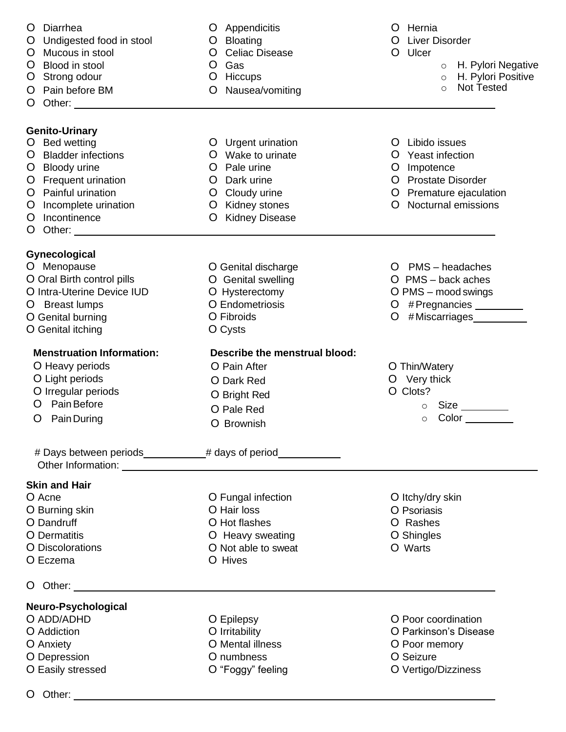| O Diarrhea<br>O Undigested food in stool<br>O Mucous in stool<br>O Blood in stool<br>O Strong odour<br>O Pain before BM<br>O Other: _________________________                                 | Appendicitis<br>Bloating<br>O.<br>O Celiac Disease<br>Gas<br>O<br>Hiccups<br>$\overline{O}$<br>Nausea/vomiting<br>O                                         | O Hernia<br>O Liver Disorder<br>O Ulcer<br>o H. Pylori Negative<br>H. Pylori Positive<br>$\circ$<br><b>Not Tested</b><br>$\circ$                |
|-----------------------------------------------------------------------------------------------------------------------------------------------------------------------------------------------|-------------------------------------------------------------------------------------------------------------------------------------------------------------|-------------------------------------------------------------------------------------------------------------------------------------------------|
| Genito-Urinary<br>O Bed wetting<br>O Bladder infections<br>O Bloody urine<br>O Frequent urination<br>O Painful urination<br>O Incomplete urination<br>O Incontinence<br>O Other: ____________ | O Urgent urination<br>Wake to urinate<br>O<br>Pale urine<br>O<br>O Dark urine<br>O Cloudy urine<br>O Kidney stones<br><b>Kidney Disease</b><br>$\mathbf{O}$ | O Libido issues<br>O Yeast infection<br>O Impotence<br>O Prostate Disorder<br>O Premature ejaculation<br><b>Nocturnal emissions</b><br>$\Omega$ |
| Gynecological<br>O Menopause<br>O Oral Birth control pills<br>O Intra-Uterine Device IUD<br>O Breast lumps<br>O Genital burning<br>O Genital itching                                          | O Genital discharge<br>O Genital swelling<br>O Hysterectomy<br>O Endometriosis<br>O Fibroids<br>O Cysts                                                     | O PMS - headaches<br>$O$ PMS – back aches<br>O PMS - mood swings<br>O #Pregnancies ________<br>#Miscarriages<br>O                               |
| <b>Menstruation Information:</b><br>O Heavy periods<br>O Light periods<br>O Irregular periods<br>O Pain Before<br>O Pain During                                                               | Describe the menstrual blood:<br>O Pain After<br>O Dark Red<br>O Bright Red<br>O Pale Red<br>O Brownish                                                     | O Thin/Watery<br>O Very thick<br>O Clots?<br>$\circ$<br>Color<br>$\circ$                                                                        |
| Skin and Hair                                                                                                                                                                                 | # Days between periods __________# days of period_____________                                                                                              |                                                                                                                                                 |
| O Acne<br>O Burning skin<br>O Dandruff<br>O Dermatitis<br><b>O</b> Discolorations<br>O Eczema                                                                                                 | O Fungal infection<br>O Hair loss<br>O Hot flashes<br>O Heavy sweating<br>O Not able to sweat<br>O Hives                                                    | O Itchy/dry skin<br>O Psoriasis<br>O Rashes<br>O Shingles<br>O Warts                                                                            |
| O Other: _______________________                                                                                                                                                              |                                                                                                                                                             |                                                                                                                                                 |
| Neuro-Psychological<br>O ADD/ADHD<br>O Addiction<br>O Anxiety<br>O Depression<br>O Easily stressed                                                                                            | O Epilepsy<br>O Irritability<br>O Mental illness<br>O numbness<br>O "Foggy" feeling                                                                         | O Poor coordination<br>O Parkinson's Disease<br>O Poor memory<br>O Seizure<br>O Vertigo/Dizziness                                               |
|                                                                                                                                                                                               |                                                                                                                                                             |                                                                                                                                                 |

O Other: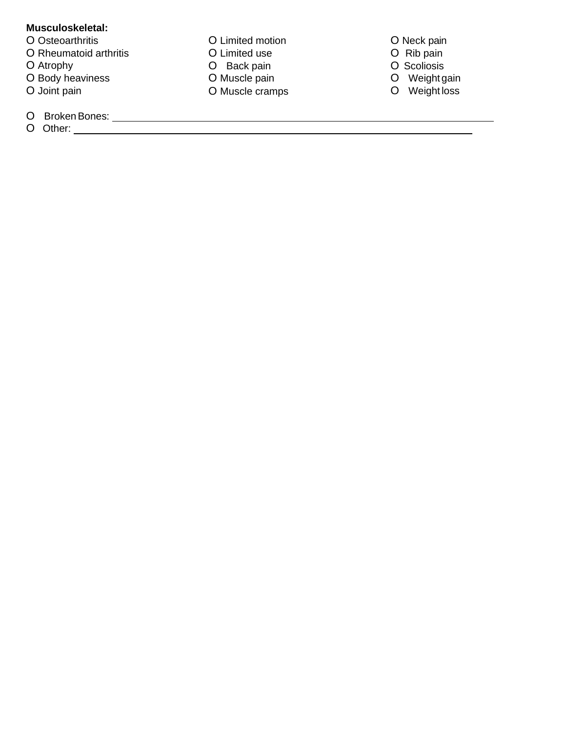#### **Musculoskeletal:**

- O Osteoarthritis
- O Rheumatoid arthritis
- O Atrophy
- O Body heaviness
- O Joint pain
- O BrokenBones:
- O Other:
- O Limited motion O Limited use O Back pain O Muscle pain O Muscle cramps
- O Neck pain
- O Rib pain
- O Scoliosis
- O Weight gain
- O Weight loss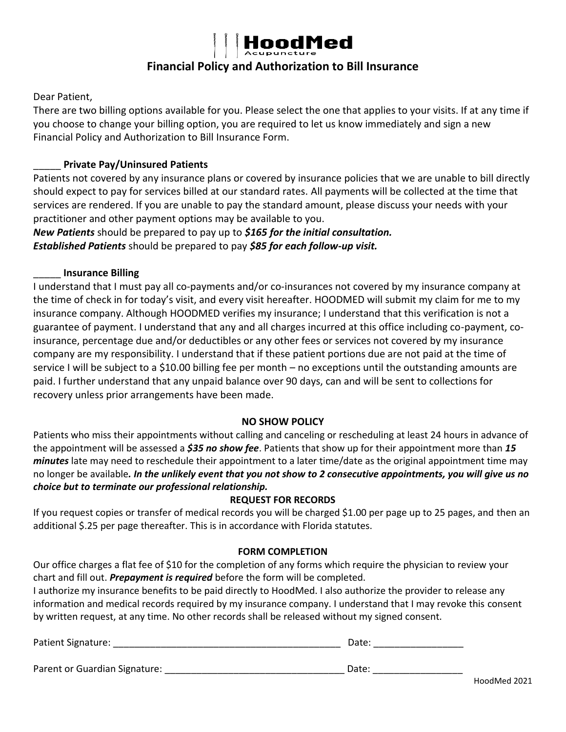

# **Financial Policy and Authorization to Bill Insurance**

Dear Patient,

There are two billing options available for you. Please select the one that applies to your visits. If at any time if you choose to change your billing option, you are required to let us know immediately and sign a new Financial Policy and Authorization to Bill Insurance Form.

#### \_\_\_\_\_ **Private Pay/Uninsured Patients**

Patients not covered by any insurance plans or covered by insurance policies that we are unable to bill directly should expect to pay for services billed at our standard rates. All payments will be collected at the time that services are rendered. If you are unable to pay the standard amount, please discuss your needs with your practitioner and other payment options may be available to you.

*New Patients* should be prepared to pay up to *\$165 for the initial consultation. Established Patients* should be prepared to pay *\$85 for each follow-up visit.* 

#### \_\_\_\_\_ **Insurance Billing**

I understand that I must pay all co-payments and/or co-insurances not covered by my insurance company at the time of check in for today's visit, and every visit hereafter. HOODMED will submit my claim for me to my insurance company. Although HOODMED verifies my insurance; I understand that this verification is not a guarantee of payment. I understand that any and all charges incurred at this office including co-payment, coinsurance, percentage due and/or deductibles or any other fees or services not covered by my insurance company are my responsibility. I understand that if these patient portions due are not paid at the time of service I will be subject to a \$10.00 billing fee per month – no exceptions until the outstanding amounts are paid. I further understand that any unpaid balance over 90 days, can and will be sent to collections for recovery unless prior arrangements have been made.

#### **NO SHOW POLICY**

Patients who miss their appointments without calling and canceling or rescheduling at least 24 hours in advance of the appointment will be assessed a *\$35 no show fee*. Patients that show up for their appointment more than *15 minutes* late may need to reschedule their appointment to a later time/date as the original appointment time may no longer be available*. In the unlikely event that you not show to 2 consecutive appointments, you will give us no choice but to terminate our professional relationship.* 

#### **REQUEST FOR RECORDS**

If you request copies or transfer of medical records you will be charged \$1.00 per page up to 25 pages, and then an additional \$.25 per page thereafter. This is in accordance with Florida statutes.

#### **FORM COMPLETION**

Our office charges a flat fee of \$10 for the completion of any forms which require the physician to review your chart and fill out. *Prepayment is required* before the form will be completed. I authorize my insurance benefits to be paid directly to HoodMed. I also authorize the provider to release any information and medical records required by my insurance company. I understand that I may revoke this consent by written request, at any time. No other records shall be released without my signed consent.

| Patient Signature:            | Date: |  |  |
|-------------------------------|-------|--|--|
|                               |       |  |  |
| Parent or Guardian Signature: | Date: |  |  |